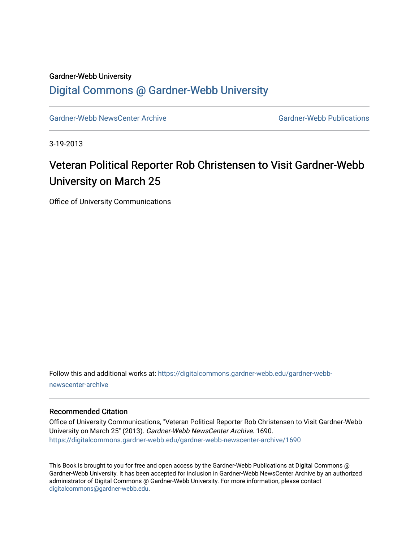#### Gardner-Webb University

### [Digital Commons @ Gardner-Webb University](https://digitalcommons.gardner-webb.edu/)

[Gardner-Webb NewsCenter Archive](https://digitalcommons.gardner-webb.edu/gardner-webb-newscenter-archive) Gardner-Webb Publications

3-19-2013

# Veteran Political Reporter Rob Christensen to Visit Gardner-Webb University on March 25

Office of University Communications

Follow this and additional works at: [https://digitalcommons.gardner-webb.edu/gardner-webb](https://digitalcommons.gardner-webb.edu/gardner-webb-newscenter-archive?utm_source=digitalcommons.gardner-webb.edu%2Fgardner-webb-newscenter-archive%2F1690&utm_medium=PDF&utm_campaign=PDFCoverPages)[newscenter-archive](https://digitalcommons.gardner-webb.edu/gardner-webb-newscenter-archive?utm_source=digitalcommons.gardner-webb.edu%2Fgardner-webb-newscenter-archive%2F1690&utm_medium=PDF&utm_campaign=PDFCoverPages)

#### Recommended Citation

Office of University Communications, "Veteran Political Reporter Rob Christensen to Visit Gardner-Webb University on March 25" (2013). Gardner-Webb NewsCenter Archive. 1690. [https://digitalcommons.gardner-webb.edu/gardner-webb-newscenter-archive/1690](https://digitalcommons.gardner-webb.edu/gardner-webb-newscenter-archive/1690?utm_source=digitalcommons.gardner-webb.edu%2Fgardner-webb-newscenter-archive%2F1690&utm_medium=PDF&utm_campaign=PDFCoverPages) 

This Book is brought to you for free and open access by the Gardner-Webb Publications at Digital Commons @ Gardner-Webb University. It has been accepted for inclusion in Gardner-Webb NewsCenter Archive by an authorized administrator of Digital Commons @ Gardner-Webb University. For more information, please contact [digitalcommons@gardner-webb.edu](mailto:digitalcommons@gardner-webb.edu).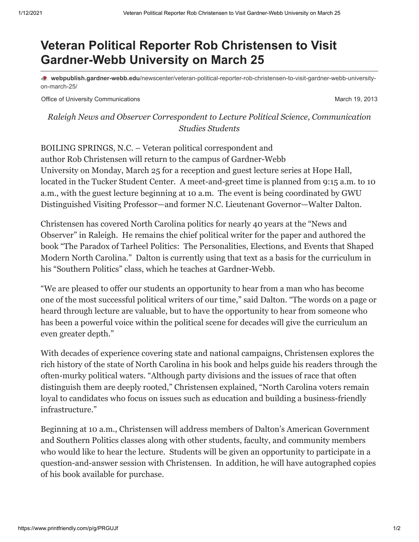# **Veteran Political Reporter Rob Christensen to Visit Gardner-Webb University on March 25**

**webpublish.gardner-webb.edu**[/newscenter/veteran-political-reporter-rob-christensen-to-visit-gardner-webb-university](https://webpublish.gardner-webb.edu/newscenter/veteran-political-reporter-rob-christensen-to-visit-gardner-webb-university-on-march-25/)on-march-25/

Office of University Communications **March 19, 2013** March 19, 2013

*Raleigh News and Observer Correspondent to Lecture Political Science, Communication Studies Students*

BOILING SPRINGS, N.C. – Veteran political correspondent and author Rob Christensen will return to the campus of Gardner-Webb University on Monday, March 25 for a reception and guest lecture series at Hope Hall, located in the Tucker Student Center. A meet-and-greet time is planned from 9:15 a.m. to 10 a.m., with the guest lecture beginning at 10 a.m. The event is being coordinated by GWU Distinguished Visiting Professor—and former N.C. Lieutenant Governor—Walter Dalton.

Christensen has covered North Carolina politics for nearly 40 years at the "News and Observer" in Raleigh. He remains the chief political writer for the paper and authored the book "The Paradox of Tarheel Politics: The Personalities, Elections, and Events that Shaped Modern North Carolina." Dalton is currently using that text as a basis for the curriculum in his "Southern Politics" class, which he teaches at Gardner-Webb.

"We are pleased to offer our students an opportunity to hear from a man who has become one of the most successful political writers of our time," said Dalton. "The words on a page or heard through lecture are valuable, but to have the opportunity to hear from someone who has been a powerful voice within the political scene for decades will give the curriculum an even greater depth."

With decades of experience covering state and national campaigns, Christensen explores the rich history of the state of North Carolina in his book and helps guide his readers through the often-murky political waters. "Although party divisions and the issues of race that often distinguish them are deeply rooted," Christensen explained, "North Carolina voters remain loyal to candidates who focus on issues such as education and building a business-friendly infrastructure."

Beginning at 10 a.m., Christensen will address members of Dalton's American Government and Southern Politics classes along with other students, faculty, and community members who would like to hear the lecture. Students will be given an opportunity to participate in a question-and-answer session with Christensen. In addition, he will have autographed copies of his book available for purchase.